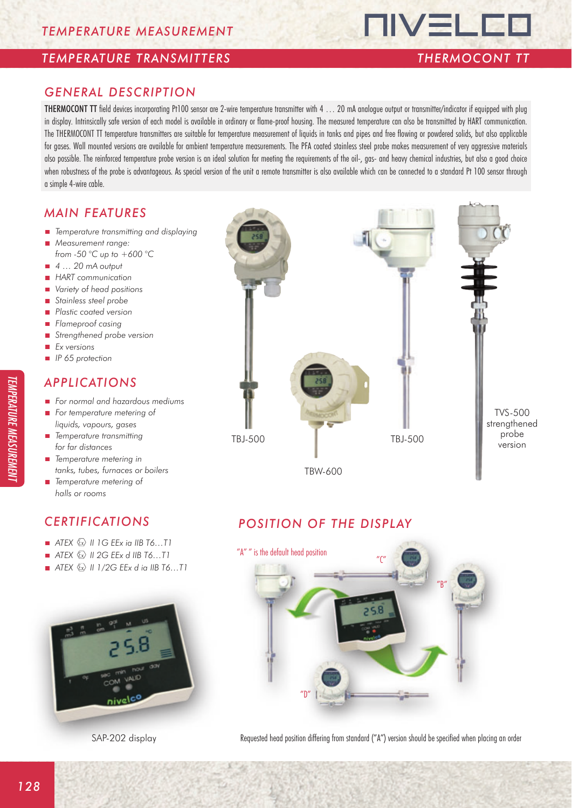#### *TEMPERATURE TRANSMITTERS THERMOCONT TT*

**TIVELED** 

#### *GENERAL DESCRIPTION*

THERMOCONT TT field devices incorporating Pt100 sensor are 2-wire temperature transmitter with 4 … 20 mA analogue output or transmitter/indicator if equipped with plug in display. Intrinsically safe version of each model is available in ordinary or flame-proof housing. The measured temperature can also be transmitted by HART communication. The THERMOCONT TT temperature transmitters are suitable for temperature measurement of liquids in tanks and pipes and free flowing or powdered solids, but also applicable for gases. Wall mounted versions are available for ambient temperature measurements. The PFA coated stainless steel probe makes measurement of very aggressive materials also possible. The reinforced temperature probe version is an ideal solution for meeting the requirements of the oil-, gas- and heavy chemical industries, but also a good choice when robustness of the probe is advantageous. As special version of the unit a remote transmitter is also available which can be connected to a standard Pt 100 sensor through a simple 4-wire cable.

#### *MAIN FEATURES*

- *Temperature transmitting and displaying*
- Ē. *Measurement range:*
- *from -50 °C up to +600 °C*
- 4 … 20 mA output
- *HART communication*
- *Variety of head positions*
- *Stainless steel probe*
- *Plastic coated version*
- *Flameproof casing* ÷.
- *Strengthened probe version*  m.
- *Ex versions* m.
- *IP 65 protection*

### *APPLICATIONS*

- *For normal and hazardous mediums*
- *For temperature metering of liquids, vapours, gases*
- *Temperature transmitting for far distances*
- *Temperature metering in tanks, tubes, furnaces or boilers*
- *Temperature metering of*
- *halls or rooms*

## *CERTIFICATIONS*

- $\blacksquare$  *ATEX*  $\textcircled{x}$  *II 1G EEx ia IIB T6...T1*
- $\blacksquare$  *ATEX*  $\&$  *II 2G EEx d IIB T6...T1*
- *ATEX*  $\textcircled{x}$  *II 1/2G EEx d ia IIB T6...T1*



SAP-202 display



## *POSITION OF THE DISPLAY*



Requested head position differing from standard ("A") version should be specified when placing an order